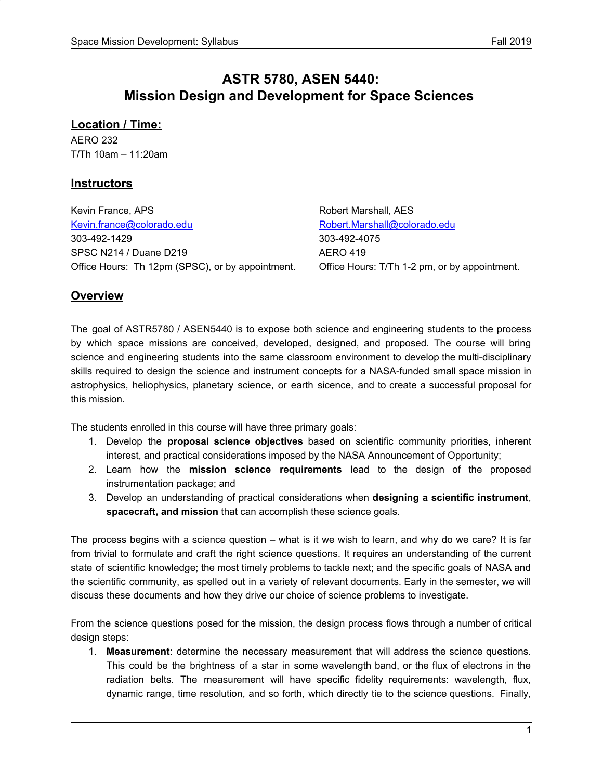## **ASTR 5780, ASEN 5440: Mission Design and Development for Space Sciences**

### **Location / Time:**

AERO 232 T/Th 10am – 11:20am

### **Instructors**

Kevin France, APS **Robert Marshall, AES** Robert Marshall, AES [Kevin.france@colorado.edu](mailto:Kevin.france@colorado.edu) [Robert.Marshall@colorado.edu](mailto:Robert.Marshall@colorado.edu) 303-492-1429 303-492-4075 SPSC N214 / Duane D219 AERO 419 Office Hours: Th 12pm (SPSC), or by appointment. Office Hours: T/Th 1-2 pm, or by appointment.

## **Overview**

The goal of ASTR5780 / ASEN5440 is to expose both science and engineering students to the process by which space missions are conceived, developed, designed, and proposed. The course will bring science and engineering students into the same classroom environment to develop the multi-disciplinary skills required to design the science and instrument concepts for a NASA-funded small space mission in astrophysics, heliophysics, planetary science, or earth sicence, and to create a successful proposal for this mission.

The students enrolled in this course will have three primary goals:

- 1. Develop the **proposal science objectives** based on scientific community priorities, inherent interest, and practical considerations imposed by the NASA Announcement of Opportunity;
- 2. Learn how the **mission science requirements** lead to the design of the proposed instrumentation package; and
- 3. Develop an understanding of practical considerations when **designing a scientific instrument**, **spacecraft, and mission** that can accomplish these science goals.

The process begins with a science question – what is it we wish to learn, and why do we care? It is far from trivial to formulate and craft the right science questions. It requires an understanding of the current state of scientific knowledge; the most timely problems to tackle next; and the specific goals of NASA and the scientific community, as spelled out in a variety of relevant documents. Early in the semester, we will discuss these documents and how they drive our choice of science problems to investigate.

From the science questions posed for the mission, the design process flows through a number of critical design steps:

1. **Measurement**: determine the necessary measurement that will address the science questions. This could be the brightness of a star in some wavelength band, or the flux of electrons in the radiation belts. The measurement will have specific fidelity requirements: wavelength, flux, dynamic range, time resolution, and so forth, which directly tie to the science questions. Finally,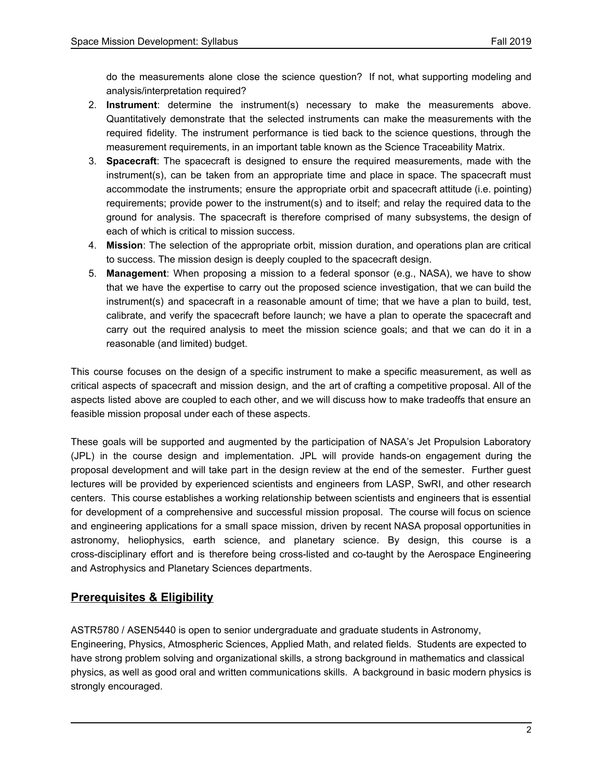do the measurements alone close the science question? If not, what supporting modeling and analysis/interpretation required?

- 2. **Instrument**: determine the instrument(s) necessary to make the measurements above. Quantitatively demonstrate that the selected instruments can make the measurements with the required fidelity. The instrument performance is tied back to the science questions, through the measurement requirements, in an important table known as the Science Traceability Matrix.
- 3. **Spacecraft**: The spacecraft is designed to ensure the required measurements, made with the instrument(s), can be taken from an appropriate time and place in space. The spacecraft must accommodate the instruments; ensure the appropriate orbit and spacecraft attitude (i.e. pointing) requirements; provide power to the instrument(s) and to itself; and relay the required data to the ground for analysis. The spacecraft is therefore comprised of many subsystems, the design of each of which is critical to mission success.
- 4. **Mission**: The selection of the appropriate orbit, mission duration, and operations plan are critical to success. The mission design is deeply coupled to the spacecraft design.
- 5. **Management**: When proposing a mission to a federal sponsor (e.g., NASA), we have to show that we have the expertise to carry out the proposed science investigation, that we can build the instrument(s) and spacecraft in a reasonable amount of time; that we have a plan to build, test, calibrate, and verify the spacecraft before launch; we have a plan to operate the spacecraft and carry out the required analysis to meet the mission science goals; and that we can do it in a reasonable (and limited) budget.

This course focuses on the design of a specific instrument to make a specific measurement, as well as critical aspects of spacecraft and mission design, and the art of crafting a competitive proposal. All of the aspects listed above are coupled to each other, and we will discuss how to make tradeoffs that ensure an feasible mission proposal under each of these aspects.

These goals will be supported and augmented by the participation of NASA's Jet Propulsion Laboratory (JPL) in the course design and implementation. JPL will provide hands-on engagement during the proposal development and will take part in the design review at the end of the semester. Further guest lectures will be provided by experienced scientists and engineers from LASP, SwRI, and other research centers. This course establishes a working relationship between scientists and engineers that is essential for development of a comprehensive and successful mission proposal. The course will focus on science and engineering applications for a small space mission, driven by recent NASA proposal opportunities in astronomy, heliophysics, earth science, and planetary science. By design, this course is a cross-disciplinary effort and is therefore being cross-listed and co-taught by the Aerospace Engineering and Astrophysics and Planetary Sciences departments.

### **Prerequisites & Eligibility**

ASTR5780 / ASEN5440 is open to senior undergraduate and graduate students in Astronomy, Engineering, Physics, Atmospheric Sciences, Applied Math, and related fields. Students are expected to have strong problem solving and organizational skills, a strong background in mathematics and classical physics, as well as good oral and written communications skills. A background in basic modern physics is strongly encouraged.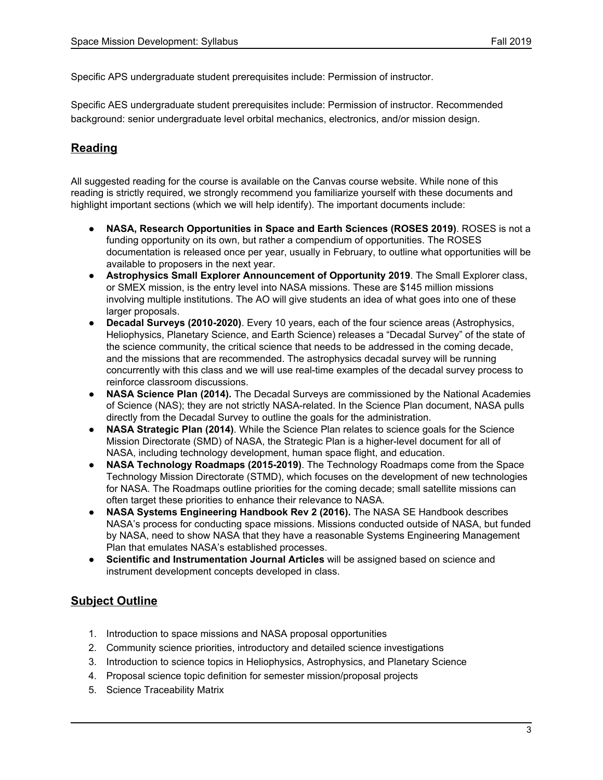Specific APS undergraduate student prerequisites include: Permission of instructor.

Specific AES undergraduate student prerequisites include: Permission of instructor. Recommended background: senior undergraduate level orbital mechanics, electronics, and/or mission design.

### **Reading**

All suggested reading for the course is available on the Canvas course website. While none of this reading is strictly required, we strongly recommend you familiarize yourself with these documents and highlight important sections (which we will help identify). The important documents include:

- **NASA, Research Opportunities in Space and Earth Sciences (ROSES 2019)**. ROSES is not a funding opportunity on its own, but rather a compendium of opportunities. The ROSES documentation is released once per year, usually in February, to outline what opportunities will be available to proposers in the next year.
- **Astrophysics Small Explorer Announcement of Opportunity 2019**. The Small Explorer class, or SMEX mission, is the entry level into NASA missions. These are \$145 million missions involving multiple institutions. The AO will give students an idea of what goes into one of these larger proposals.
- **Decadal Surveys (2010-2020)**. Every 10 years, each of the four science areas (Astrophysics, Heliophysics, Planetary Science, and Earth Science) releases a "Decadal Survey" of the state of the science community, the critical science that needs to be addressed in the coming decade, and the missions that are recommended. The astrophysics decadal survey will be running concurrently with this class and we will use real-time examples of the decadal survey process to reinforce classroom discussions.
- **NASA Science Plan (2014).** The Decadal Surveys are commissioned by the National Academies of Science (NAS); they are not strictly NASA-related. In the Science Plan document, NASA pulls directly from the Decadal Survey to outline the goals for the administration.
- **NASA Strategic Plan (2014)**. While the Science Plan relates to science goals for the Science Mission Directorate (SMD) of NASA, the Strategic Plan is a higher-level document for all of NASA, including technology development, human space flight, and education.
- **NASA Technology Roadmaps (2015-2019)**. The Technology Roadmaps come from the Space Technology Mission Directorate (STMD), which focuses on the development of new technologies for NASA. The Roadmaps outline priorities for the coming decade; small satellite missions can often target these priorities to enhance their relevance to NASA.
- **● NASA Systems Engineering Handbook Rev 2 (2016).** The NASA SE Handbook describes NASA's process for conducting space missions. Missions conducted outside of NASA, but funded by NASA, need to show NASA that they have a reasonable Systems Engineering Management Plan that emulates NASA's established processes.
- **Scientific and Instrumentation Journal Articles** will be assigned based on science and instrument development concepts developed in class.

### **Subject Outline**

- 1. Introduction to space missions and NASA proposal opportunities
- 2. Community science priorities, introductory and detailed science investigations
- 3. Introduction to science topics in Heliophysics, Astrophysics, and Planetary Science
- 4. Proposal science topic definition for semester mission/proposal projects
- 5. Science Traceability Matrix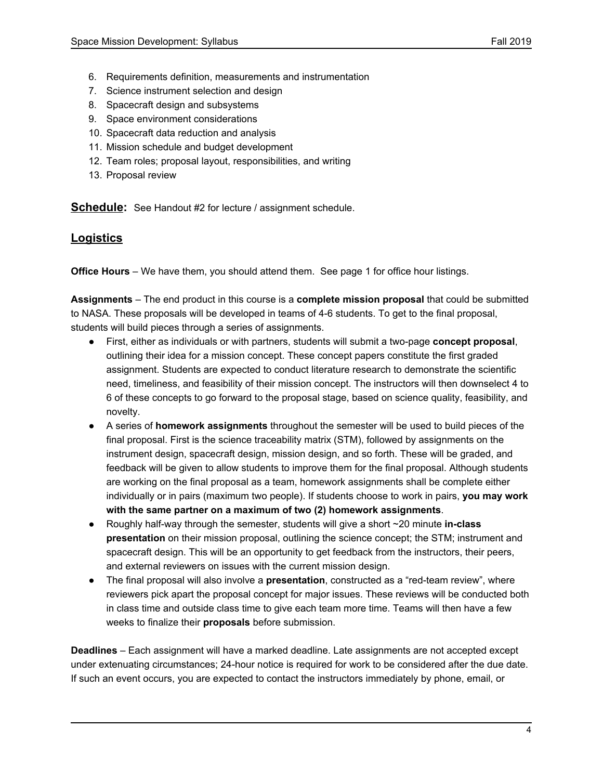- 6. Requirements definition, measurements and instrumentation
- 7. Science instrument selection and design
- 8. Spacecraft design and subsystems
- 9. Space environment considerations
- 10. Spacecraft data reduction and analysis
- 11. Mission schedule and budget development
- 12. Team roles; proposal layout, responsibilities, and writing
- 13. Proposal review

**Schedule:** See Handout #2 for lecture / assignment schedule.

#### **Logistics**

**Office Hours** – We have them, you should attend them. See page 1 for office hour listings.

**Assignments** – The end product in this course is a **complete mission proposal** that could be submitted to NASA. These proposals will be developed in teams of 4-6 students. To get to the final proposal, students will build pieces through a series of assignments.

- First, either as individuals or with partners, students will submit a two-page **concept proposal**, outlining their idea for a mission concept. These concept papers constitute the first graded assignment. Students are expected to conduct literature research to demonstrate the scientific need, timeliness, and feasibility of their mission concept. The instructors will then downselect 4 to 6 of these concepts to go forward to the proposal stage, based on science quality, feasibility, and novelty.
- A series of **homework assignments** throughout the semester will be used to build pieces of the final proposal. First is the science traceability matrix (STM), followed by assignments on the instrument design, spacecraft design, mission design, and so forth. These will be graded, and feedback will be given to allow students to improve them for the final proposal. Although students are working on the final proposal as a team, homework assignments shall be complete either individually or in pairs (maximum two people). If students choose to work in pairs, **you may work with the same partner on a maximum of two (2) homework assignments**.
- Roughly half-way through the semester, students will give a short ~20 minute **in-class presentation** on their mission proposal, outlining the science concept; the STM; instrument and spacecraft design. This will be an opportunity to get feedback from the instructors, their peers, and external reviewers on issues with the current mission design.
- The final proposal will also involve a **presentation**, constructed as a "red-team review", where reviewers pick apart the proposal concept for major issues. These reviews will be conducted both in class time and outside class time to give each team more time. Teams will then have a few weeks to finalize their **proposals** before submission.

**Deadlines** – Each assignment will have a marked deadline. Late assignments are not accepted except under extenuating circumstances; 24-hour notice is required for work to be considered after the due date. If such an event occurs, you are expected to contact the instructors immediately by phone, email, or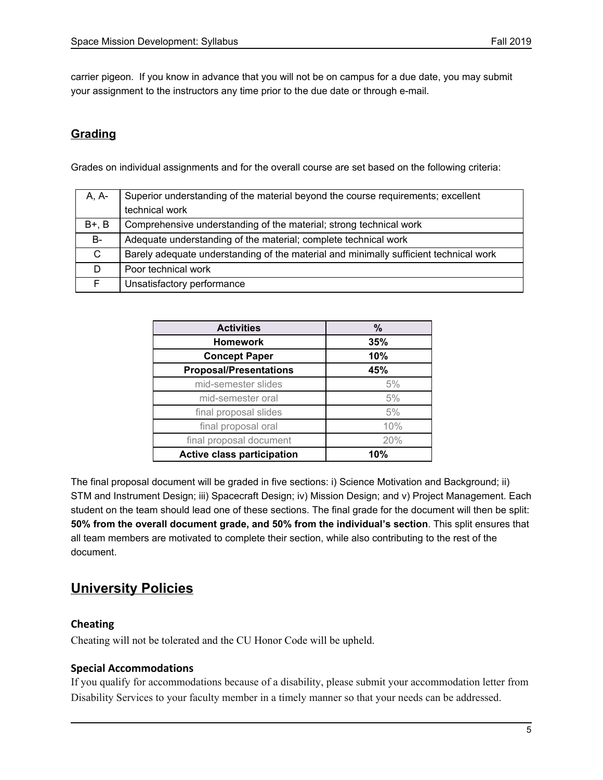carrier pigeon. If you know in advance that you will not be on campus for a due date, you may submit your assignment to the instructors any time prior to the due date or through e-mail.

### **Grading**

Grades on individual assignments and for the overall course are set based on the following criteria:

| A, A-   | Superior understanding of the material beyond the course requirements; excellent      |
|---------|---------------------------------------------------------------------------------------|
|         | technical work                                                                        |
| $B+, B$ | Comprehensive understanding of the material; strong technical work                    |
| B-      | Adequate understanding of the material; complete technical work                       |
| C.      | Barely adequate understanding of the material and minimally sufficient technical work |
| D.      | Poor technical work                                                                   |
|         | Unsatisfactory performance                                                            |

| <b>Activities</b>                 | $\%$ |
|-----------------------------------|------|
| <b>Homework</b>                   | 35%  |
| <b>Concept Paper</b>              | 10%  |
| <b>Proposal/Presentations</b>     | 45%  |
| mid-semester slides               | 5%   |
| mid-semester oral                 | 5%   |
| final proposal slides             | 5%   |
| final proposal oral               | 10%  |
| final proposal document           | 20%  |
| <b>Active class participation</b> | 10%  |

The final proposal document will be graded in five sections: i) Science Motivation and Background; ii) STM and Instrument Design; iii) Spacecraft Design; iv) Mission Design; and v) Project Management. Each student on the team should lead one of these sections. The final grade for the document will then be split: **50% from the overall document grade, and 50% from the individual's section**. This split ensures that all team members are motivated to complete their section, while also contributing to the rest of the document.

# **University Policies**

### **Cheating**

Cheating will not be tolerated and the CU Honor Code will be upheld.

#### **Special Accommodations**

If you qualify for accommodations because of a disability, please submit your accommodation letter from Disability Services to your faculty member in a timely manner so that your needs can be addressed.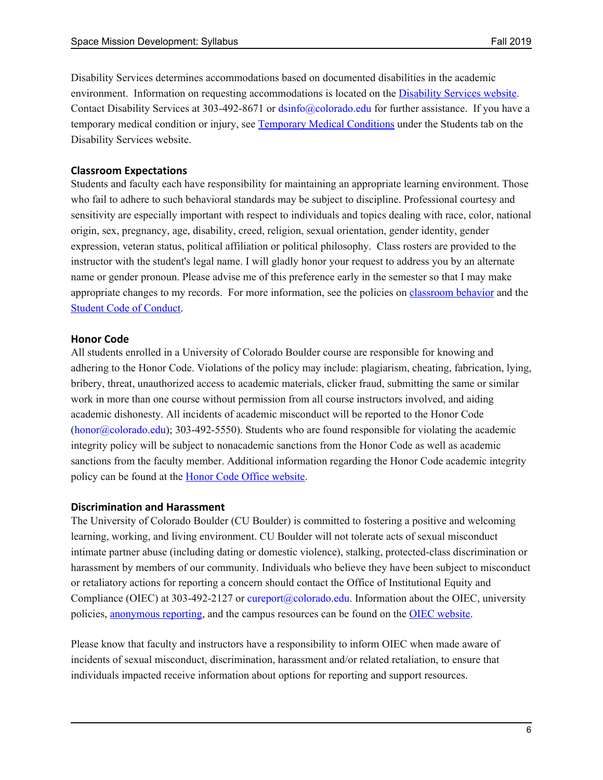Disability Services determines accommodations based on documented disabilities in the academic environment. Information on requesting accommodations is located on the **[Disability](http://www.colorado.edu/disabilityservices/students) Services website**. Contact Disability Services at 303-492-8671 or dsinfo@colorado.edu for further assistance. If you have a temporary medical condition or injury, see [Temporary](http://www.colorado.edu/disabilityservices/students/temporary-medical-conditions) Medical Conditions under the Students tab on the Disability Services website.

### **Classroom Expectations**

Students and faculty each have responsibility for maintaining an appropriate learning environment. Those who fail to adhere to such behavioral standards may be subject to discipline. Professional courtesy and sensitivity are especially important with respect to individuals and topics dealing with race, color, national origin, sex, pregnancy, age, disability, creed, religion, sexual orientation, gender identity, gender expression, veteran status, political affiliation or political philosophy. Class rosters are provided to the instructor with the student's legal name. I will gladly honor your request to address you by an alternate name or gender pronoun. Please advise me of this preference early in the semester so that I may make appropriate changes to my records. For more information, see the policies on **[classroom](http://www.colorado.edu/policies/student-classroom-and-course-related-behavior) behavior** and the Student Code of [Conduct.](http://www.colorado.edu/osccr/)

#### **Honor Code**

All students enrolled in a University of Colorado Boulder course are responsible for knowing and adhering to the Honor Code. Violations of the policy may include: plagiarism, cheating, fabrication, lying, bribery, threat, unauthorized access to academic materials, clicker fraud, submitting the same or similar work in more than one course without permission from all course instructors involved, and aiding academic dishonesty. All incidents of academic misconduct will be reported to the Honor Code  $(honor@colorado.edu);$  303-492-5550). Students who are found responsible for violating the academic integrity policy will be subject to nonacademic sanctions from the Honor Code as well as academic sanctions from the faculty member. Additional information regarding the Honor Code academic integrity policy can be found at the **Honor Code Office website**.

#### **Discrimination and Harassment**

The University of Colorado Boulder (CU Boulder) is committed to fostering a positive and welcoming learning, working, and living environment. CU Boulder will not tolerate acts of sexual misconduct intimate partner abuse (including dating or domestic violence), stalking, protected-class discrimination or harassment by members of our community. Individuals who believe they have been subject to misconduct or retaliatory actions for reporting a concern should contact the Office of Institutional Equity and Compliance (OIEC) at 303-492-2127 or cureport@colorado.edu. Information about the OIEC, university policies, [anonymous](https://cuboulder.qualtrics.com/jfe/form/SV_0PnqVK4kkIJIZnf) reporting, and the campus resources can be found on the OIEC [website.](http://www.colorado.edu/institutionalequity/)

Please know that faculty and instructors have a responsibility to inform OIEC when made aware of incidents of sexual misconduct, discrimination, harassment and/or related retaliation, to ensure that individuals impacted receive information about options for reporting and support resources.